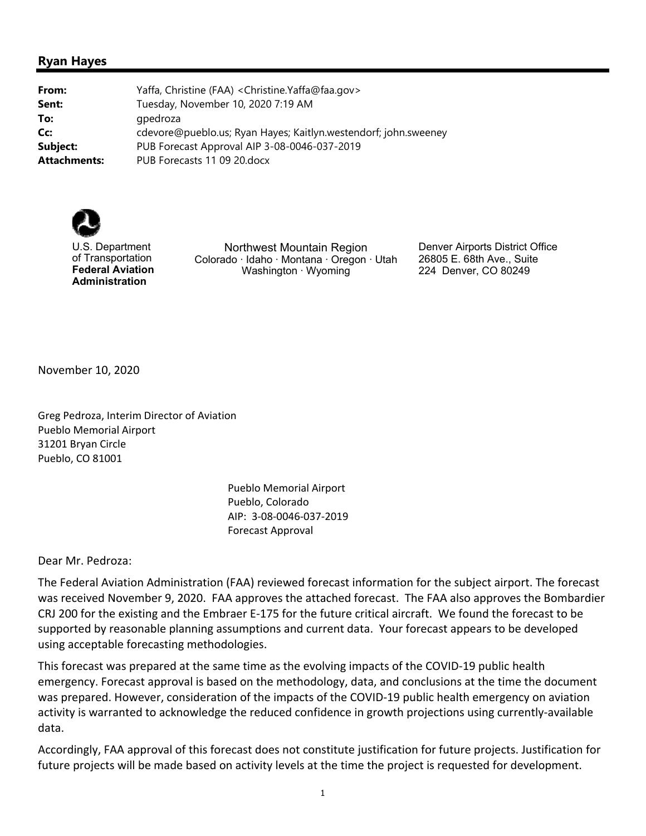## **Ryan Hayes**

| From:        | Yaffa, Christine (FAA) < Christine. Yaffa@faa.gov>              |
|--------------|-----------------------------------------------------------------|
| Sent:        | Tuesday, November 10, 2020 7:19 AM                              |
| To:          | gpedroza                                                        |
| Cc:          | cdevore@pueblo.us; Ryan Hayes; Kaitlyn.westendorf; john.sweeney |
| Subject:     | PUB Forecast Approval AIP 3-08-0046-037-2019                    |
| Attachments: | PUB Forecasts 11 09 20. docx                                    |



U.S. Department of Transportation **Federal Aviation Administration**

Northwest Mountain Region Colorado ∙ Idaho ∙ Montana ∙ Oregon ∙ Utah Washington ∙ Wyoming

Denver Airports District Office 26805 E. 68th Ave., Suite 224 Denver, CO 80249

November 10, 2020

Greg Pedroza, Interim Director of Aviation Pueblo Memorial Airport 31201 Bryan Circle Pueblo, CO 81001

> Pueblo Memorial Airport Pueblo, Colorado AIP: 3‐08‐0046‐037‐2019 Forecast Approval

Dear Mr. Pedroza:

The Federal Aviation Administration (FAA) reviewed forecast information for the subject airport. The forecast was received November 9, 2020. FAA approves the attached forecast. The FAA also approves the Bombardier CRJ 200 for the existing and the Embraer E‐175 for the future critical aircraft. We found the forecast to be supported by reasonable planning assumptions and current data. Your forecast appears to be developed using acceptable forecasting methodologies.

This forecast was prepared at the same time as the evolving impacts of the COVID‐19 public health emergency. Forecast approval is based on the methodology, data, and conclusions at the time the document was prepared. However, consideration of the impacts of the COVID‐19 public health emergency on aviation activity is warranted to acknowledge the reduced confidence in growth projections using currently‐available data.

Accordingly, FAA approval of this forecast does not constitute justification for future projects. Justification for future projects will be made based on activity levels at the time the project is requested for development.